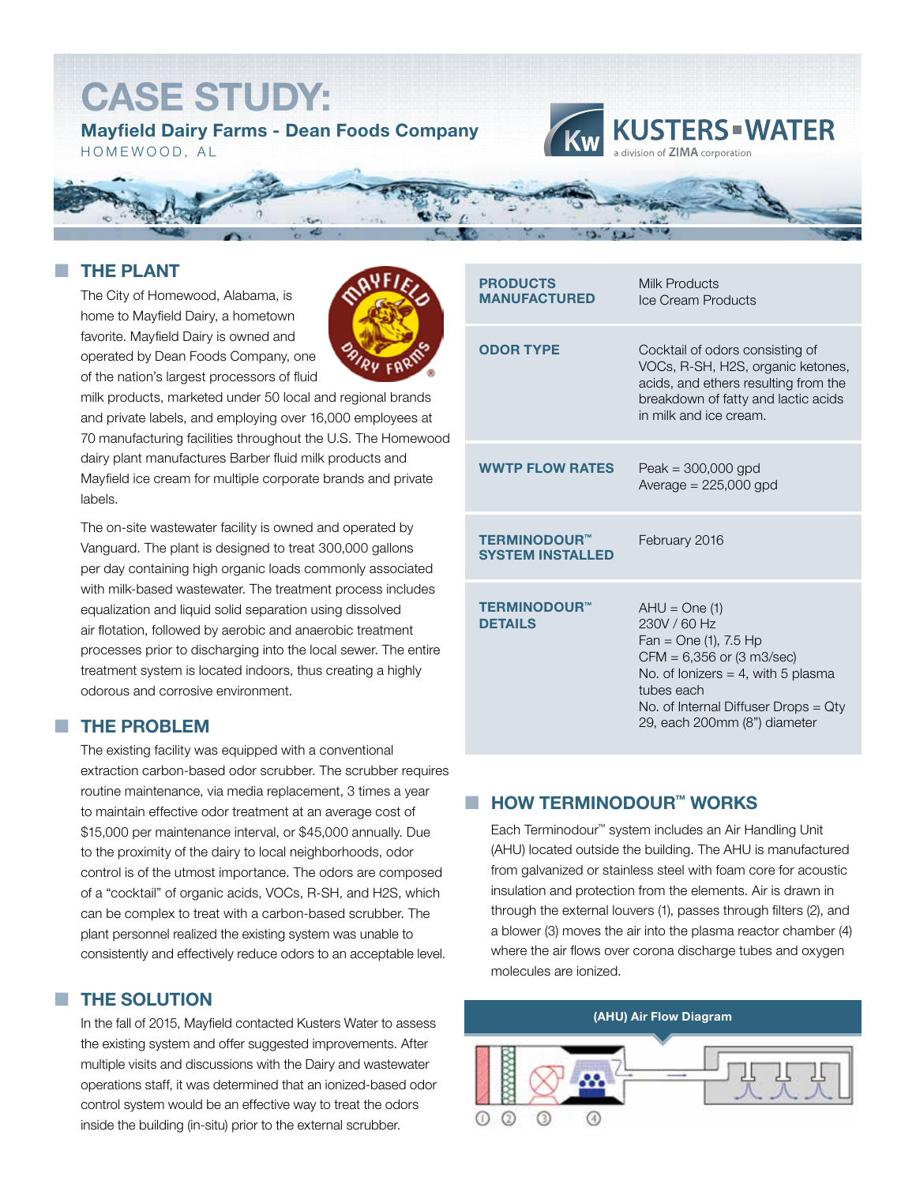# **CASE STUDY:**

**Mayfield Dairy Farms - Dean Foods Company** HOMEWOOD, AL





## **THE PLANT**

The City of Homewood, Alabama, is home to Mayfield Dairy, a hometown favorite. Mayfield Dairy is owned and operated by Dean Foods Company, one of the nation's largest processors of fluid



milk products, marketed under 50 local and regional brands and private labels, and employing over 16,000 employees at 70 manufacturing facilities throughout the U.S. The Homewood dairy plant manufactures Barber fluid milk products and Mayfield ice cream for multiple corporate brands and private labels.

The on-site wastewater facility is owned and operated by Vanguard. The plant is designed to treat 300,000 gallons per day containing high organic loads commonly associated with milk-based wastewater. The treatment process includes equalization and liquid solid separation using dissolved air flotation, followed by aerobic and anaerobic treatment processes prior to discharging into the local sewer. The entire treatment system is located indoors, thus creating a highly odorous and corrosive environment.

### ¢ **THE PROBLEM**

The existing facility was equipped with a conventional extraction carbon-based odor scrubber. The scrubber requires routine maintenance, via media replacement, 3 times a year to maintain effective odor treatment at an average cost of \$15,000 per maintenance interval, or \$45,000 annually. Due to the proximity of the dairy to local neighborhoods, odor control is of the utmost importance. The odors are composed of a "cocktail" of organic acids, VOCs, R-SH, and H2S, which can be complex to treat with a carbon-based scrubber. The plant personnel realized the existing system was unable to consistently and effectively reduce odors to an acceptable level.

#### ¢ **THE SOLUTION**

In the fall of 2015, Mayfield contacted Kusters Water to assess the existing system and offer suggested improvements. After multiple visits and discussions with the Dairy and wastewater operations staff, it was determined that an ionized-based odor control system would be an effective way to treat the odors inside the building (in-situ) prior to the external scrubber.

| <b>PRODUCTS</b><br><b>MANUFACTURED</b>         | Milk Products<br>Ice Cream Products                                                                                                                                                                                           |
|------------------------------------------------|-------------------------------------------------------------------------------------------------------------------------------------------------------------------------------------------------------------------------------|
| <b>ODOR TYPE</b>                               | Cocktail of odors consisting of<br>VOCs, R-SH, H2S, organic ketones,<br>acids, and ethers resulting from the<br>breakdown of fatty and lactic acids<br>in milk and ice cream.                                                 |
| <b>WWTP FLOW RATES</b>                         | Peak = $300,000$ gpd<br>Average $= 225,000$ gpd                                                                                                                                                                               |
| <b>TERMINODOUR™</b><br><b>SYSTEM INSTALLED</b> | February 2016                                                                                                                                                                                                                 |
| <b>TERMINODOUR™</b><br><b>DETAILS</b>          | $AHU = One(1)$<br>230V / 60 Hz<br>$Fan = One(1), 7.5 Hp$<br>$CFM = 6,356$ or $(3 \text{ m3/sec})$<br>No. of lonizers = 4, with 5 plasma<br>tubes each<br>No. of Internal Diffuser Drops = Qty<br>29, each 200mm (8") diameter |

## ¢ **HOW TERMINODOUR™ WORKS**

Each Terminodour™ system includes an Air Handling Unit (AHU) located outside the building. The AHU is manufactured from galvanized or stainless steel with foam core for acoustic insulation and protection from the elements. Air is drawn in through the external louvers (1), passes through filters (2), and a blower (3) moves the air into the plasma reactor chamber (4) where the air flows over corona discharge tubes and oxygen molecules are ionized.